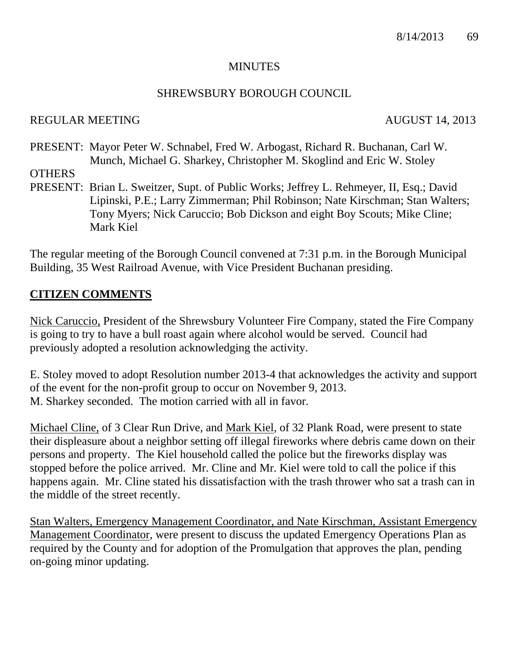#### **MINUTES**

#### SHREWSBURY BOROUGH COUNCIL

#### REGULAR MEETING AUGUST 14, 2013

PRESENT: Mayor Peter W. Schnabel, Fred W. Arbogast, Richard R. Buchanan, Carl W. Munch, Michael G. Sharkey, Christopher M. Skoglind and Eric W. Stoley

**OTHERS** 

PRESENT: Brian L. Sweitzer, Supt. of Public Works; Jeffrey L. Rehmeyer, II, Esq.; David Lipinski, P.E.; Larry Zimmerman; Phil Robinson; Nate Kirschman; Stan Walters; Tony Myers; Nick Caruccio; Bob Dickson and eight Boy Scouts; Mike Cline; Mark Kiel

The regular meeting of the Borough Council convened at 7:31 p.m. in the Borough Municipal Building, 35 West Railroad Avenue, with Vice President Buchanan presiding.

#### **CITIZEN COMMENTS**

Nick Caruccio, President of the Shrewsbury Volunteer Fire Company, stated the Fire Company is going to try to have a bull roast again where alcohol would be served. Council had previously adopted a resolution acknowledging the activity.

E. Stoley moved to adopt Resolution number 2013-4 that acknowledges the activity and support of the event for the non-profit group to occur on November 9, 2013. M. Sharkey seconded. The motion carried with all in favor.

Michael Cline, of 3 Clear Run Drive, and Mark Kiel, of 32 Plank Road, were present to state their displeasure about a neighbor setting off illegal fireworks where debris came down on their persons and property. The Kiel household called the police but the fireworks display was stopped before the police arrived. Mr. Cline and Mr. Kiel were told to call the police if this happens again. Mr. Cline stated his dissatisfaction with the trash thrower who sat a trash can in the middle of the street recently.

Stan Walters, Emergency Management Coordinator, and Nate Kirschman, Assistant Emergency Management Coordinator, were present to discuss the updated Emergency Operations Plan as required by the County and for adoption of the Promulgation that approves the plan, pending on-going minor updating.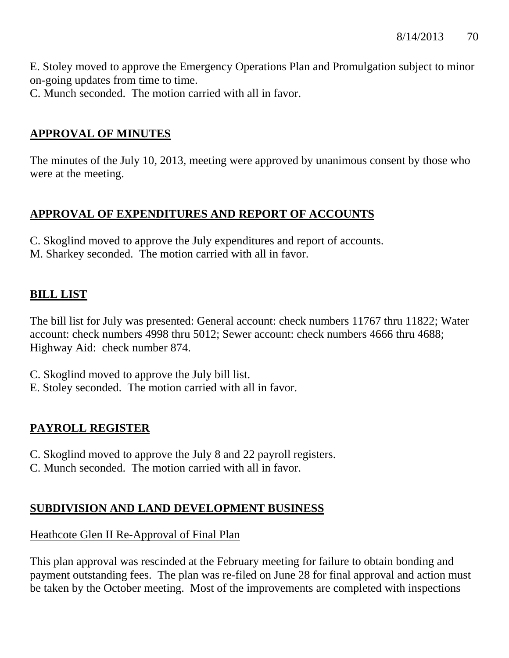E. Stoley moved to approve the Emergency Operations Plan and Promulgation subject to minor on-going updates from time to time.

C. Munch seconded. The motion carried with all in favor.

# **APPROVAL OF MINUTES**

The minutes of the July 10, 2013, meeting were approved by unanimous consent by those who were at the meeting.

# **APPROVAL OF EXPENDITURES AND REPORT OF ACCOUNTS**

C. Skoglind moved to approve the July expenditures and report of accounts. M. Sharkey seconded. The motion carried with all in favor.

# **BILL LIST**

The bill list for July was presented: General account: check numbers 11767 thru 11822; Water account: check numbers 4998 thru 5012; Sewer account: check numbers 4666 thru 4688; Highway Aid: check number 874.

- C. Skoglind moved to approve the July bill list.
- E. Stoley seconded. The motion carried with all in favor.

# **PAYROLL REGISTER**

- C. Skoglind moved to approve the July 8 and 22 payroll registers.
- C. Munch seconded. The motion carried with all in favor.

# **SUBDIVISION AND LAND DEVELOPMENT BUSINESS**

## Heathcote Glen II Re-Approval of Final Plan

This plan approval was rescinded at the February meeting for failure to obtain bonding and payment outstanding fees. The plan was re-filed on June 28 for final approval and action must be taken by the October meeting. Most of the improvements are completed with inspections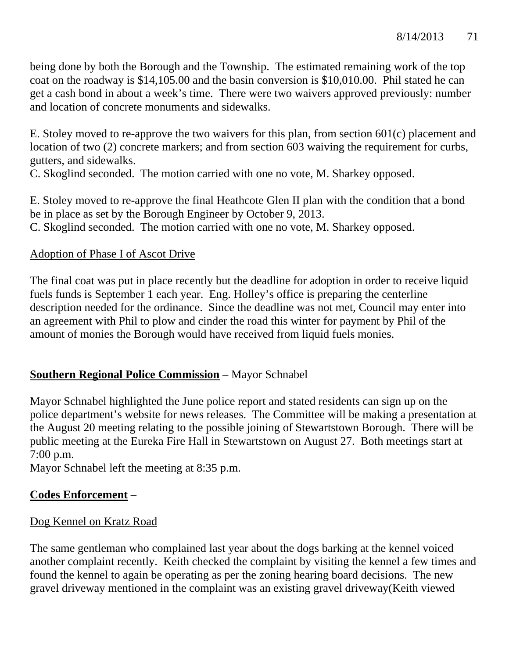being done by both the Borough and the Township. The estimated remaining work of the top coat on the roadway is \$14,105.00 and the basin conversion is \$10,010.00. Phil stated he can get a cash bond in about a week's time. There were two waivers approved previously: number and location of concrete monuments and sidewalks.

E. Stoley moved to re-approve the two waivers for this plan, from section 601(c) placement and location of two (2) concrete markers; and from section 603 waiving the requirement for curbs, gutters, and sidewalks.

C. Skoglind seconded. The motion carried with one no vote, M. Sharkey opposed.

E. Stoley moved to re-approve the final Heathcote Glen II plan with the condition that a bond be in place as set by the Borough Engineer by October 9, 2013. C. Skoglind seconded. The motion carried with one no vote, M. Sharkey opposed.

## Adoption of Phase I of Ascot Drive

The final coat was put in place recently but the deadline for adoption in order to receive liquid fuels funds is September 1 each year. Eng. Holley's office is preparing the centerline description needed for the ordinance. Since the deadline was not met, Council may enter into an agreement with Phil to plow and cinder the road this winter for payment by Phil of the amount of monies the Borough would have received from liquid fuels monies.

# **Southern Regional Police Commission** – Mayor Schnabel

Mayor Schnabel highlighted the June police report and stated residents can sign up on the police department's website for news releases. The Committee will be making a presentation at the August 20 meeting relating to the possible joining of Stewartstown Borough. There will be public meeting at the Eureka Fire Hall in Stewartstown on August 27. Both meetings start at 7:00 p.m.

Mayor Schnabel left the meeting at 8:35 p.m.

# **Codes Enforcement** –

# Dog Kennel on Kratz Road

The same gentleman who complained last year about the dogs barking at the kennel voiced another complaint recently. Keith checked the complaint by visiting the kennel a few times and found the kennel to again be operating as per the zoning hearing board decisions. The new gravel driveway mentioned in the complaint was an existing gravel driveway(Keith viewed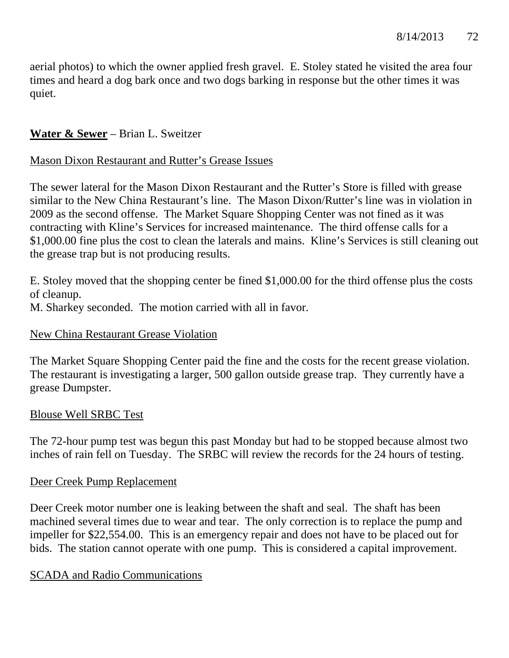aerial photos) to which the owner applied fresh gravel. E. Stoley stated he visited the area four times and heard a dog bark once and two dogs barking in response but the other times it was quiet.

# **Water & Sewer** – Brian L. Sweitzer

## Mason Dixon Restaurant and Rutter's Grease Issues

The sewer lateral for the Mason Dixon Restaurant and the Rutter's Store is filled with grease similar to the New China Restaurant's line. The Mason Dixon/Rutter's line was in violation in 2009 as the second offense. The Market Square Shopping Center was not fined as it was contracting with Kline's Services for increased maintenance. The third offense calls for a \$1,000.00 fine plus the cost to clean the laterals and mains. Kline's Services is still cleaning out the grease trap but is not producing results.

E. Stoley moved that the shopping center be fined \$1,000.00 for the third offense plus the costs of cleanup.

M. Sharkey seconded. The motion carried with all in favor.

## New China Restaurant Grease Violation

The Market Square Shopping Center paid the fine and the costs for the recent grease violation. The restaurant is investigating a larger, 500 gallon outside grease trap. They currently have a grease Dumpster.

## Blouse Well SRBC Test

The 72-hour pump test was begun this past Monday but had to be stopped because almost two inches of rain fell on Tuesday. The SRBC will review the records for the 24 hours of testing.

## Deer Creek Pump Replacement

Deer Creek motor number one is leaking between the shaft and seal. The shaft has been machined several times due to wear and tear. The only correction is to replace the pump and impeller for \$22,554.00. This is an emergency repair and does not have to be placed out for bids. The station cannot operate with one pump. This is considered a capital improvement.

## SCADA and Radio Communications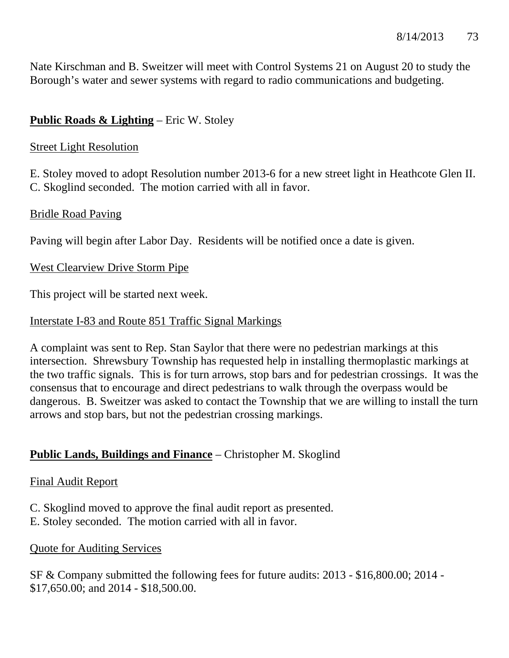Nate Kirschman and B. Sweitzer will meet with Control Systems 21 on August 20 to study the Borough's water and sewer systems with regard to radio communications and budgeting.

# **Public Roads & Lighting** – Eric W. Stoley

## Street Light Resolution

E. Stoley moved to adopt Resolution number 2013-6 for a new street light in Heathcote Glen II. C. Skoglind seconded. The motion carried with all in favor.

## Bridle Road Paving

Paving will begin after Labor Day. Residents will be notified once a date is given.

## West Clearview Drive Storm Pipe

This project will be started next week.

## Interstate I-83 and Route 851 Traffic Signal Markings

A complaint was sent to Rep. Stan Saylor that there were no pedestrian markings at this intersection. Shrewsbury Township has requested help in installing thermoplastic markings at the two traffic signals. This is for turn arrows, stop bars and for pedestrian crossings. It was the consensus that to encourage and direct pedestrians to walk through the overpass would be dangerous. B. Sweitzer was asked to contact the Township that we are willing to install the turn arrows and stop bars, but not the pedestrian crossing markings.

# **Public Lands, Buildings and Finance** – Christopher M. Skoglind

## Final Audit Report

- C. Skoglind moved to approve the final audit report as presented.
- E. Stoley seconded. The motion carried with all in favor.

## Quote for Auditing Services

SF & Company submitted the following fees for future audits: 2013 - \$16,800.00; 2014 - \$17,650.00; and 2014 - \$18,500.00.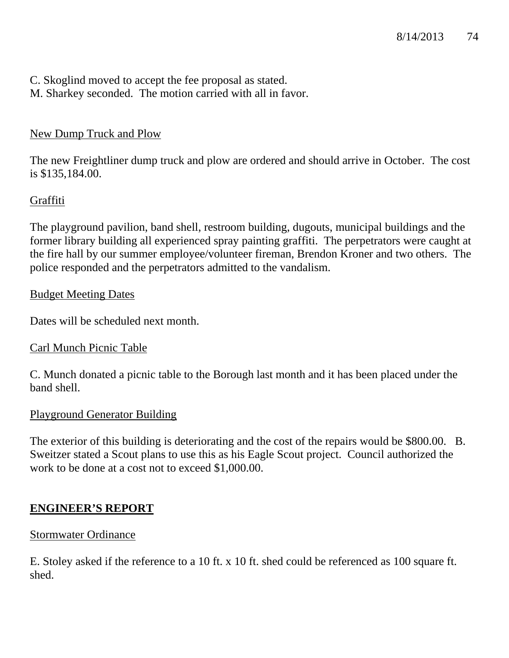- C. Skoglind moved to accept the fee proposal as stated.
- M. Sharkey seconded. The motion carried with all in favor.

# New Dump Truck and Plow

The new Freightliner dump truck and plow are ordered and should arrive in October. The cost is \$135,184.00.

# Graffiti

The playground pavilion, band shell, restroom building, dugouts, municipal buildings and the former library building all experienced spray painting graffiti. The perpetrators were caught at the fire hall by our summer employee/volunteer fireman, Brendon Kroner and two others. The police responded and the perpetrators admitted to the vandalism.

## Budget Meeting Dates

Dates will be scheduled next month.

# Carl Munch Picnic Table

C. Munch donated a picnic table to the Borough last month and it has been placed under the band shell.

## Playground Generator Building

The exterior of this building is deteriorating and the cost of the repairs would be \$800.00. B. Sweitzer stated a Scout plans to use this as his Eagle Scout project. Council authorized the work to be done at a cost not to exceed \$1,000.00.

# **ENGINEER'S REPORT**

# Stormwater Ordinance

E. Stoley asked if the reference to a 10 ft. x 10 ft. shed could be referenced as 100 square ft. shed.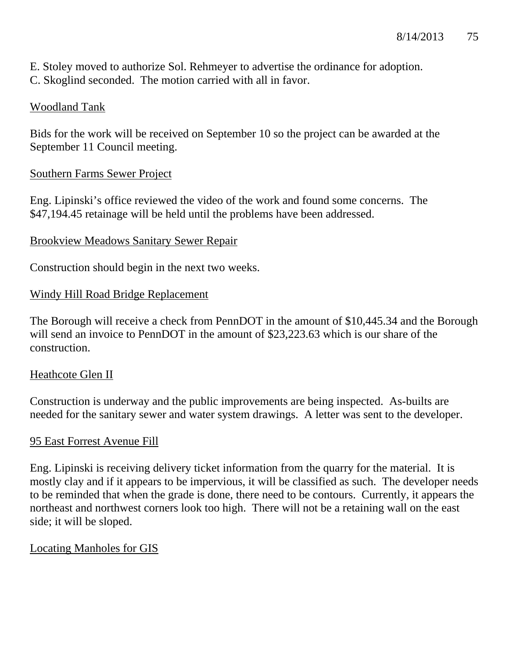E. Stoley moved to authorize Sol. Rehmeyer to advertise the ordinance for adoption.

C. Skoglind seconded. The motion carried with all in favor.

# Woodland Tank

Bids for the work will be received on September 10 so the project can be awarded at the September 11 Council meeting.

# Southern Farms Sewer Project

Eng. Lipinski's office reviewed the video of the work and found some concerns. The \$47,194.45 retainage will be held until the problems have been addressed.

# Brookview Meadows Sanitary Sewer Repair

Construction should begin in the next two weeks.

# Windy Hill Road Bridge Replacement

The Borough will receive a check from PennDOT in the amount of \$10,445.34 and the Borough will send an invoice to PennDOT in the amount of \$23,223.63 which is our share of the construction.

# Heathcote Glen II

Construction is underway and the public improvements are being inspected. As-builts are needed for the sanitary sewer and water system drawings. A letter was sent to the developer.

# 95 East Forrest Avenue Fill

Eng. Lipinski is receiving delivery ticket information from the quarry for the material. It is mostly clay and if it appears to be impervious, it will be classified as such. The developer needs to be reminded that when the grade is done, there need to be contours. Currently, it appears the northeast and northwest corners look too high. There will not be a retaining wall on the east side; it will be sloped.

# Locating Manholes for GIS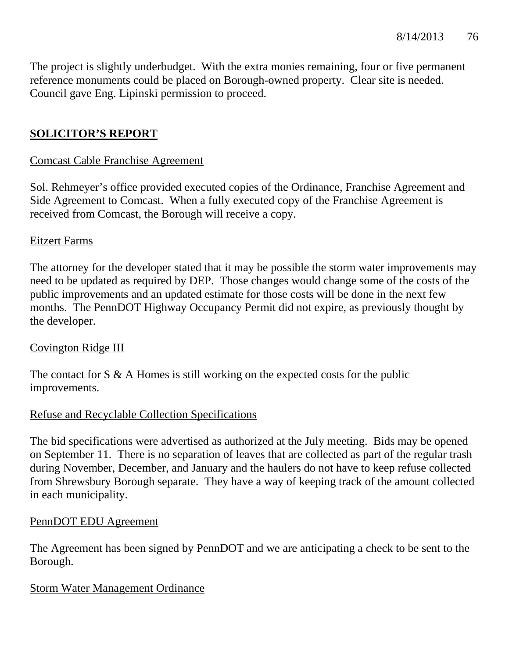The project is slightly underbudget. With the extra monies remaining, four or five permanent reference monuments could be placed on Borough-owned property. Clear site is needed. Council gave Eng. Lipinski permission to proceed.

# **SOLICITOR'S REPORT**

## Comcast Cable Franchise Agreement

Sol. Rehmeyer's office provided executed copies of the Ordinance, Franchise Agreement and Side Agreement to Comcast. When a fully executed copy of the Franchise Agreement is received from Comcast, the Borough will receive a copy.

## Eitzert Farms

The attorney for the developer stated that it may be possible the storm water improvements may need to be updated as required by DEP. Those changes would change some of the costs of the public improvements and an updated estimate for those costs will be done in the next few months. The PennDOT Highway Occupancy Permit did not expire, as previously thought by the developer.

## Covington Ridge III

The contact for S & A Homes is still working on the expected costs for the public improvements.

# Refuse and Recyclable Collection Specifications

The bid specifications were advertised as authorized at the July meeting. Bids may be opened on September 11. There is no separation of leaves that are collected as part of the regular trash during November, December, and January and the haulers do not have to keep refuse collected from Shrewsbury Borough separate. They have a way of keeping track of the amount collected in each municipality.

#### PennDOT EDU Agreement

The Agreement has been signed by PennDOT and we are anticipating a check to be sent to the Borough.

## Storm Water Management Ordinance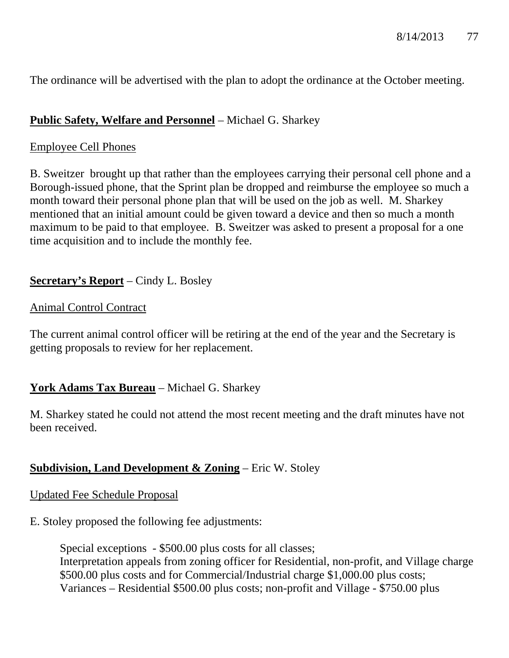The ordinance will be advertised with the plan to adopt the ordinance at the October meeting.

# **Public Safety, Welfare and Personnel** – Michael G. Sharkey

#### Employee Cell Phones

B. Sweitzer brought up that rather than the employees carrying their personal cell phone and a Borough-issued phone, that the Sprint plan be dropped and reimburse the employee so much a month toward their personal phone plan that will be used on the job as well. M. Sharkey mentioned that an initial amount could be given toward a device and then so much a month maximum to be paid to that employee. B. Sweitzer was asked to present a proposal for a one time acquisition and to include the monthly fee.

## **Secretary's Report** – Cindy L. Bosley

#### Animal Control Contract

The current animal control officer will be retiring at the end of the year and the Secretary is getting proposals to review for her replacement.

## **York Adams Tax Bureau** – Michael G. Sharkey

M. Sharkey stated he could not attend the most recent meeting and the draft minutes have not been received.

## **Subdivision, Land Development & Zoning** – Eric W. Stoley

#### Updated Fee Schedule Proposal

E. Stoley proposed the following fee adjustments:

 Special exceptions - \$500.00 plus costs for all classes; Interpretation appeals from zoning officer for Residential, non-profit, and Village charge \$500.00 plus costs and for Commercial/Industrial charge \$1,000.00 plus costs; Variances – Residential \$500.00 plus costs; non-profit and Village - \$750.00 plus